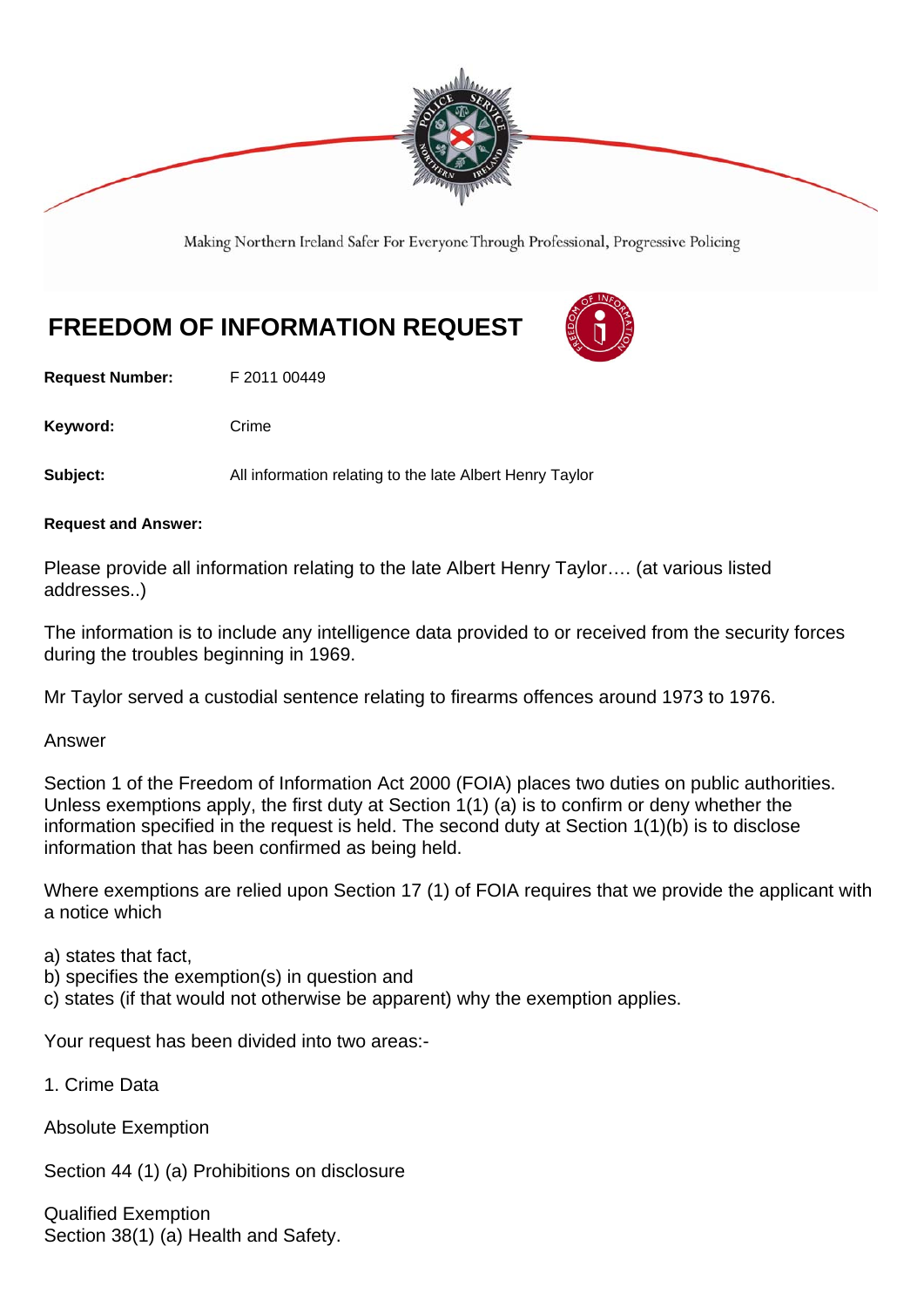

Making Northern Ireland Safer For Everyone Through Professional, Progressive Policing

# **FREEDOM OF INFORMATION REQUEST**

**Request Number:** F 2011 00449

Keyword: Crime

**Subject:** All information relating to the late Albert Henry Taylor

**Request and Answer:** 

Please provide all information relating to the late Albert Henry Taylor…. (at various listed addresses..)

The information is to include any intelligence data provided to or received from the security forces during the troubles beginning in 1969.

Mr Taylor served a custodial sentence relating to firearms offences around 1973 to 1976.

Answer

Section 1 of the Freedom of Information Act 2000 (FOIA) places two duties on public authorities. Unless exemptions apply, the first duty at Section 1(1) (a) is to confirm or deny whether the information specified in the request is held. The second duty at Section 1(1)(b) is to disclose information that has been confirmed as being held.

Where exemptions are relied upon Section 17 (1) of FOIA requires that we provide the applicant with a notice which

a) states that fact,

- b) specifies the exemption(s) in question and
- c) states (if that would not otherwise be apparent) why the exemption applies.

Your request has been divided into two areas:-

1. Crime Data

Absolute Exemption

Section 44 (1) (a) Prohibitions on disclosure

Qualified Exemption Section 38(1) (a) Health and Safety.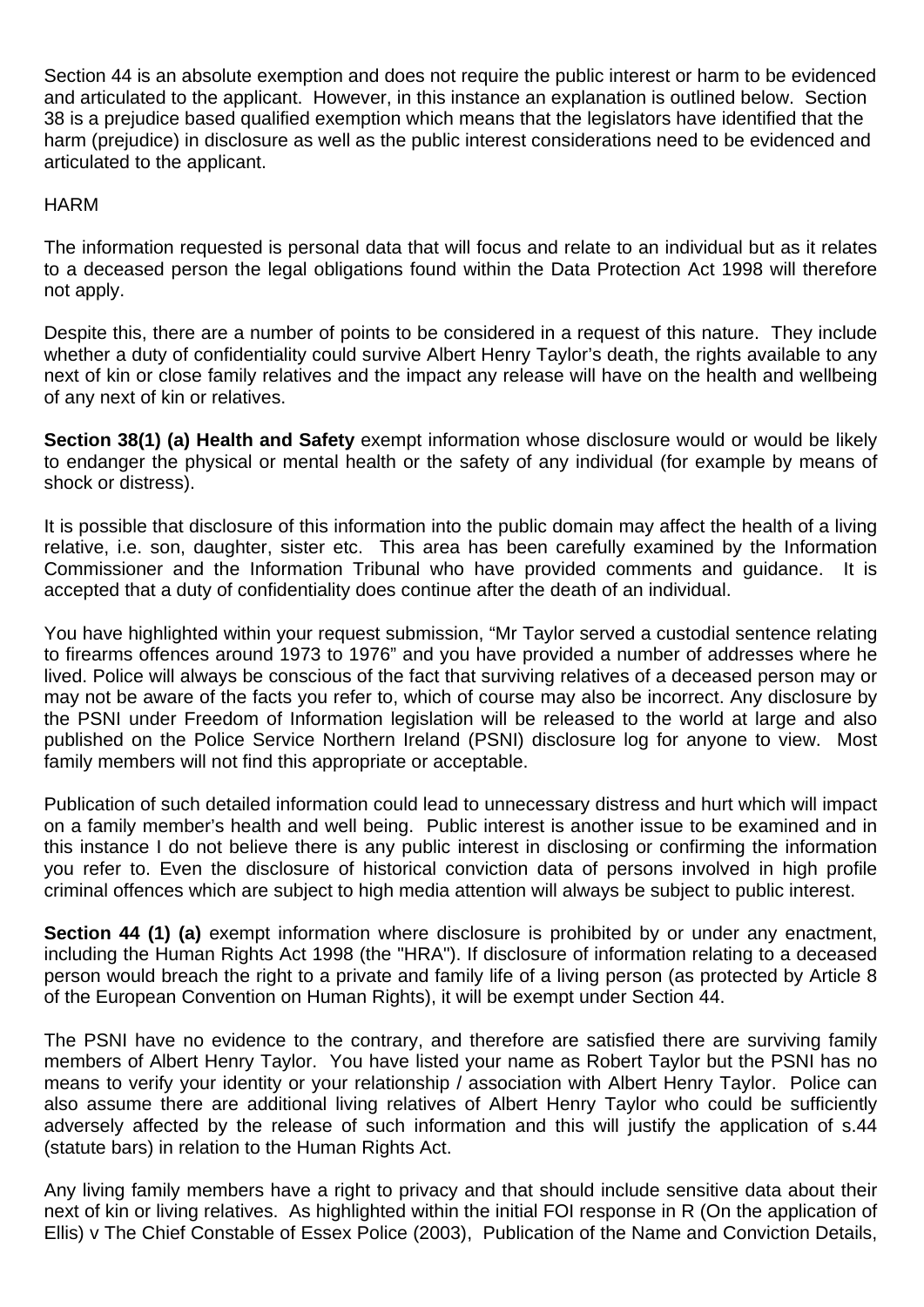Section 44 is an absolute exemption and does not require the public interest or harm to be evidenced and articulated to the applicant. However, in this instance an explanation is outlined below. Section 38 is a prejudice based qualified exemption which means that the legislators have identified that the harm (prejudice) in disclosure as well as the public interest considerations need to be evidenced and articulated to the applicant.

## **HARM**

The information requested is personal data that will focus and relate to an individual but as it relates to a deceased person the legal obligations found within the Data Protection Act 1998 will therefore not apply.

Despite this, there are a number of points to be considered in a request of this nature. They include whether a duty of confidentiality could survive Albert Henry Taylor's death, the rights available to any next of kin or close family relatives and the impact any release will have on the health and wellbeing of any next of kin or relatives.

**Section 38(1) (a) Health and Safety** exempt information whose disclosure would or would be likely to endanger the physical or mental health or the safety of any individual (for example by means of shock or distress).

It is possible that disclosure of this information into the public domain may affect the health of a living relative, i.e. son, daughter, sister etc. This area has been carefully examined by the Information Commissioner and the Information Tribunal who have provided comments and guidance. It is accepted that a duty of confidentiality does continue after the death of an individual.

You have highlighted within your request submission, "Mr Taylor served a custodial sentence relating to firearms offences around 1973 to 1976" and you have provided a number of addresses where he lived. Police will always be conscious of the fact that surviving relatives of a deceased person may or may not be aware of the facts you refer to, which of course may also be incorrect. Any disclosure by the PSNI under Freedom of Information legislation will be released to the world at large and also published on the Police Service Northern Ireland (PSNI) disclosure log for anyone to view. Most family members will not find this appropriate or acceptable.

Publication of such detailed information could lead to unnecessary distress and hurt which will impact on a family member's health and well being. Public interest is another issue to be examined and in this instance I do not believe there is any public interest in disclosing or confirming the information you refer to. Even the disclosure of historical conviction data of persons involved in high profile criminal offences which are subject to high media attention will always be subject to public interest.

**Section 44 (1) (a)** exempt information where disclosure is prohibited by or under any enactment, including the Human Rights Act 1998 (the "HRA"). If disclosure of information relating to a deceased person would breach the right to a private and family life of a living person (as protected by Article 8 of the European Convention on Human Rights), it will be exempt under Section 44.

The PSNI have no evidence to the contrary, and therefore are satisfied there are surviving family members of Albert Henry Taylor. You have listed your name as Robert Taylor but the PSNI has no means to verify your identity or your relationship / association with Albert Henry Taylor. Police can also assume there are additional living relatives of Albert Henry Taylor who could be sufficiently adversely affected by the release of such information and this will justify the application of s.44 (statute bars) in relation to the Human Rights Act.

Any living family members have a right to privacy and that should include sensitive data about their next of kin or living relatives. As highlighted within the initial FOI response in R (On the application of Ellis) v The Chief Constable of Essex Police (2003), Publication of the Name and Conviction Details,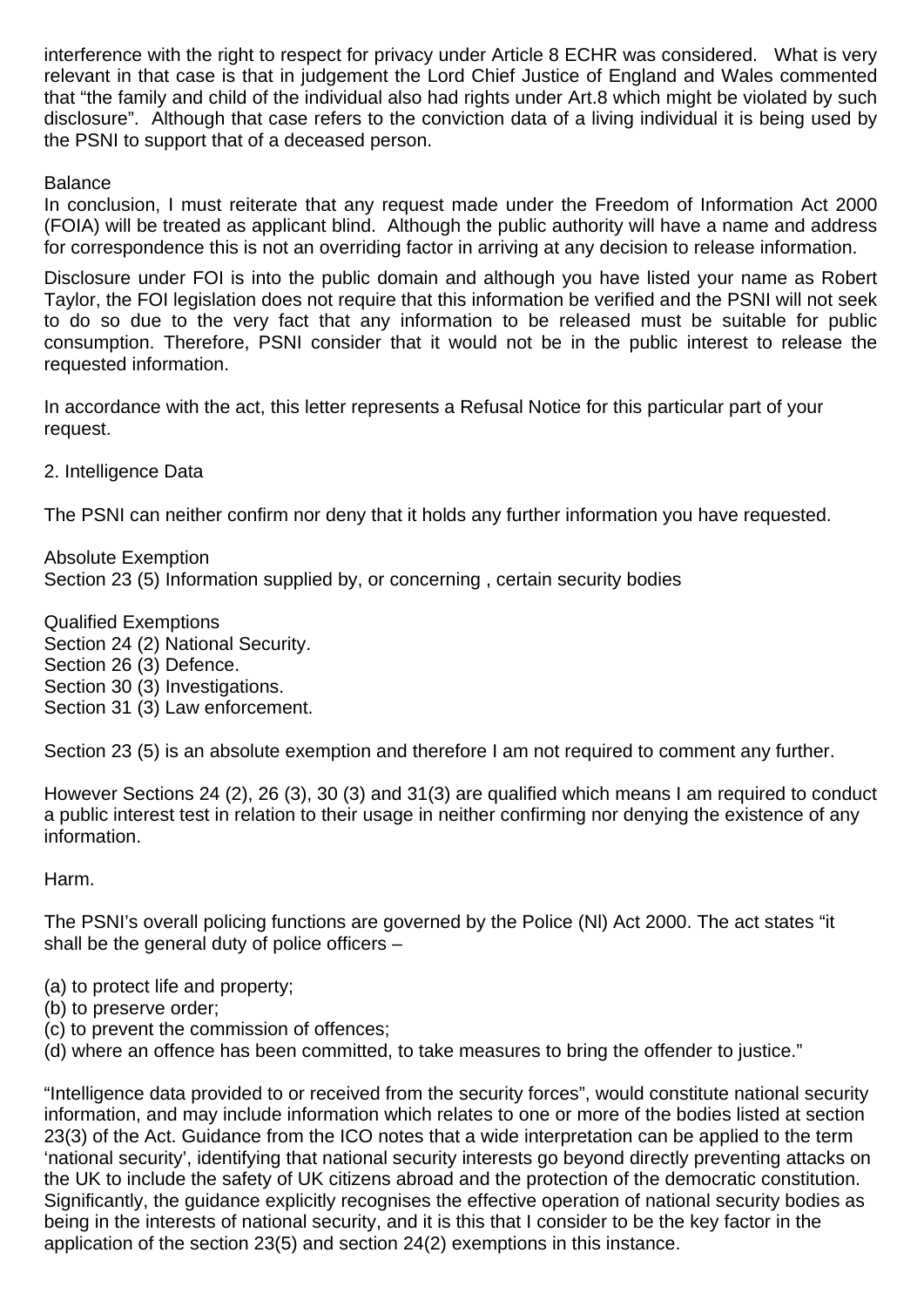interference with the right to respect for privacy under Article 8 ECHR was considered. What is very relevant in that case is that in judgement the Lord Chief Justice of England and Wales commented that "the family and child of the individual also had rights under Art.8 which might be violated by such disclosure". Although that case refers to the conviction data of a living individual it is being used by the PSNI to support that of a deceased person.

#### **Balance**

In conclusion, I must reiterate that any request made under the Freedom of Information Act 2000 (FOIA) will be treated as applicant blind. Although the public authority will have a name and address for correspondence this is not an overriding factor in arriving at any decision to release information.

Disclosure under FOI is into the public domain and although you have listed your name as Robert Taylor, the FOI legislation does not require that this information be verified and the PSNI will not seek to do so due to the very fact that any information to be released must be suitable for public consumption. Therefore, PSNI consider that it would not be in the public interest to release the requested information.

In accordance with the act, this letter represents a Refusal Notice for this particular part of your request.

2. Intelligence Data

The PSNI can neither confirm nor deny that it holds any further information you have requested.

Absolute Exemption Section 23 (5) Information supplied by, or concerning , certain security bodies

Qualified Exemptions Section 24 (2) National Security. Section 26 (3) Defence. Section 30 (3) Investigations. Section 31 (3) Law enforcement.

Section 23 (5) is an absolute exemption and therefore I am not required to comment any further.

However Sections 24 (2), 26 (3), 30 (3) and 31(3) are qualified which means I am required to conduct a public interest test in relation to their usage in neither confirming nor denying the existence of any information.

Harm.

The PSNI's overall policing functions are governed by the Police (Nl) Act 2000. The act states "it shall be the general duty of police officers –

- (a) to protect life and property;
- (b) to preserve order;
- (c) to prevent the commission of offences;
- (d) where an offence has been committed, to take measures to bring the offender to justice."

"Intelligence data provided to or received from the security forces", would constitute national security information, and may include information which relates to one or more of the bodies listed at section 23(3) of the Act. Guidance from the ICO notes that a wide interpretation can be applied to the term 'national security', identifying that national security interests go beyond directly preventing attacks on the UK to include the safety of UK citizens abroad and the protection of the democratic constitution. Significantly, the guidance explicitly recognises the effective operation of national security bodies as being in the interests of national security, and it is this that I consider to be the key factor in the application of the section 23(5) and section 24(2) exemptions in this instance.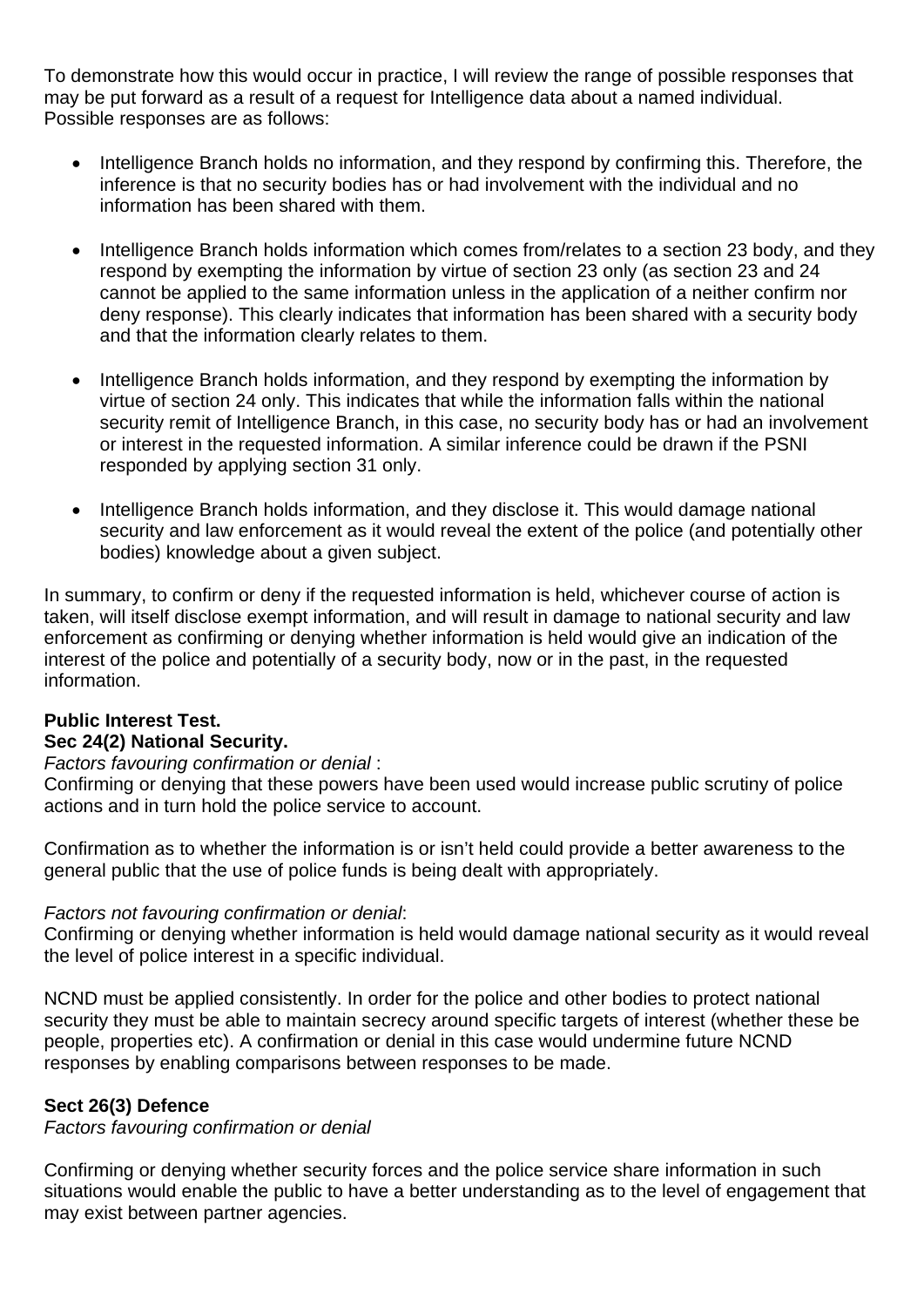To demonstrate how this would occur in practice, I will review the range of possible responses that may be put forward as a result of a request for Intelligence data about a named individual. Possible responses are as follows:

- Intelligence Branch holds no information, and they respond by confirming this. Therefore, the inference is that no security bodies has or had involvement with the individual and no information has been shared with them.
- Intelligence Branch holds information which comes from/relates to a section 23 body, and they respond by exempting the information by virtue of section 23 only (as section 23 and 24 cannot be applied to the same information unless in the application of a neither confirm nor deny response). This clearly indicates that information has been shared with a security body and that the information clearly relates to them.
- Intelligence Branch holds information, and they respond by exempting the information by virtue of section 24 only. This indicates that while the information falls within the national security remit of Intelligence Branch, in this case, no security body has or had an involvement or interest in the requested information. A similar inference could be drawn if the PSNI responded by applying section 31 only.
- Intelligence Branch holds information, and they disclose it. This would damage national security and law enforcement as it would reveal the extent of the police (and potentially other bodies) knowledge about a given subject.

In summary, to confirm or deny if the requested information is held, whichever course of action is taken, will itself disclose exempt information, and will result in damage to national security and law enforcement as confirming or denying whether information is held would give an indication of the interest of the police and potentially of a security body, now or in the past, in the requested information.

# **Public Interest Test. Sec 24(2) National Security.**

#### *Factors favouring confirmation or denial* :

Confirming or denying that these powers have been used would increase public scrutiny of police actions and in turn hold the police service to account.

Confirmation as to whether the information is or isn't held could provide a better awareness to the general public that the use of police funds is being dealt with appropriately.

#### *Factors not favouring confirmation or denial*:

Confirming or denying whether information is held would damage national security as it would reveal the level of police interest in a specific individual.

NCND must be applied consistently. In order for the police and other bodies to protect national security they must be able to maintain secrecy around specific targets of interest (whether these be people, properties etc). A confirmation or denial in this case would undermine future NCND responses by enabling comparisons between responses to be made.

## **Sect 26(3) Defence**

*Factors favouring confirmation or denial* 

Confirming or denying whether security forces and the police service share information in such situations would enable the public to have a better understanding as to the level of engagement that may exist between partner agencies.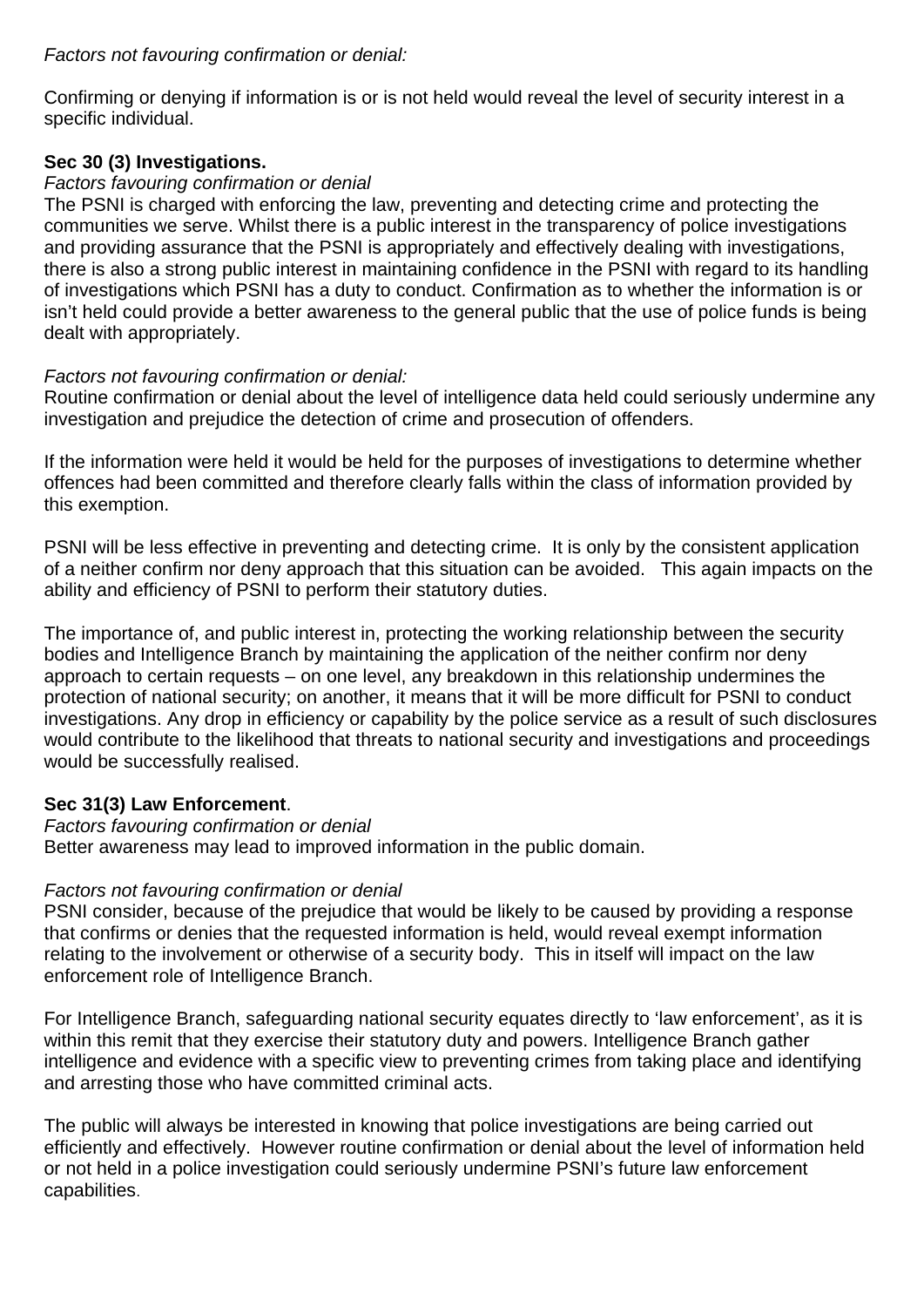Confirming or denying if information is or is not held would reveal the level of security interest in a specific individual.

# **Sec 30 (3) Investigations.**

## *Factors favouring confirmation or denial*

The PSNI is charged with enforcing the law, preventing and detecting crime and protecting the communities we serve. Whilst there is a public interest in the transparency of police investigations and providing assurance that the PSNI is appropriately and effectively dealing with investigations, there is also a strong public interest in maintaining confidence in the PSNI with regard to its handling of investigations which PSNI has a duty to conduct. Confirmation as to whether the information is or isn't held could provide a better awareness to the general public that the use of police funds is being dealt with appropriately.

# *Factors not favouring confirmation or denial:*

Routine confirmation or denial about the level of intelligence data held could seriously undermine any investigation and prejudice the detection of crime and prosecution of offenders.

If the information were held it would be held for the purposes of investigations to determine whether offences had been committed and therefore clearly falls within the class of information provided by this exemption.

PSNI will be less effective in preventing and detecting crime. It is only by the consistent application of a neither confirm nor deny approach that this situation can be avoided. This again impacts on the ability and efficiency of PSNI to perform their statutory duties.

The importance of, and public interest in, protecting the working relationship between the security bodies and Intelligence Branch by maintaining the application of the neither confirm nor deny approach to certain requests – on one level, any breakdown in this relationship undermines the protection of national security; on another, it means that it will be more difficult for PSNI to conduct investigations. Any drop in efficiency or capability by the police service as a result of such disclosures would contribute to the likelihood that threats to national security and investigations and proceedings would be successfully realised.

# **Sec 31(3) Law Enforcement**.

#### *Factors favouring confirmation or denial*  Better awareness may lead to improved information in the public domain.

## *Factors not favouring confirmation or denial*

PSNI consider, because of the prejudice that would be likely to be caused by providing a response that confirms or denies that the requested information is held, would reveal exempt information relating to the involvement or otherwise of a security body. This in itself will impact on the law enforcement role of Intelligence Branch.

For Intelligence Branch, safeguarding national security equates directly to 'law enforcement', as it is within this remit that they exercise their statutory duty and powers. Intelligence Branch gather intelligence and evidence with a specific view to preventing crimes from taking place and identifying and arresting those who have committed criminal acts.

The public will always be interested in knowing that police investigations are being carried out efficiently and effectively. However routine confirmation or denial about the level of information held or not held in a police investigation could seriously undermine PSNI's future law enforcement capabilities.